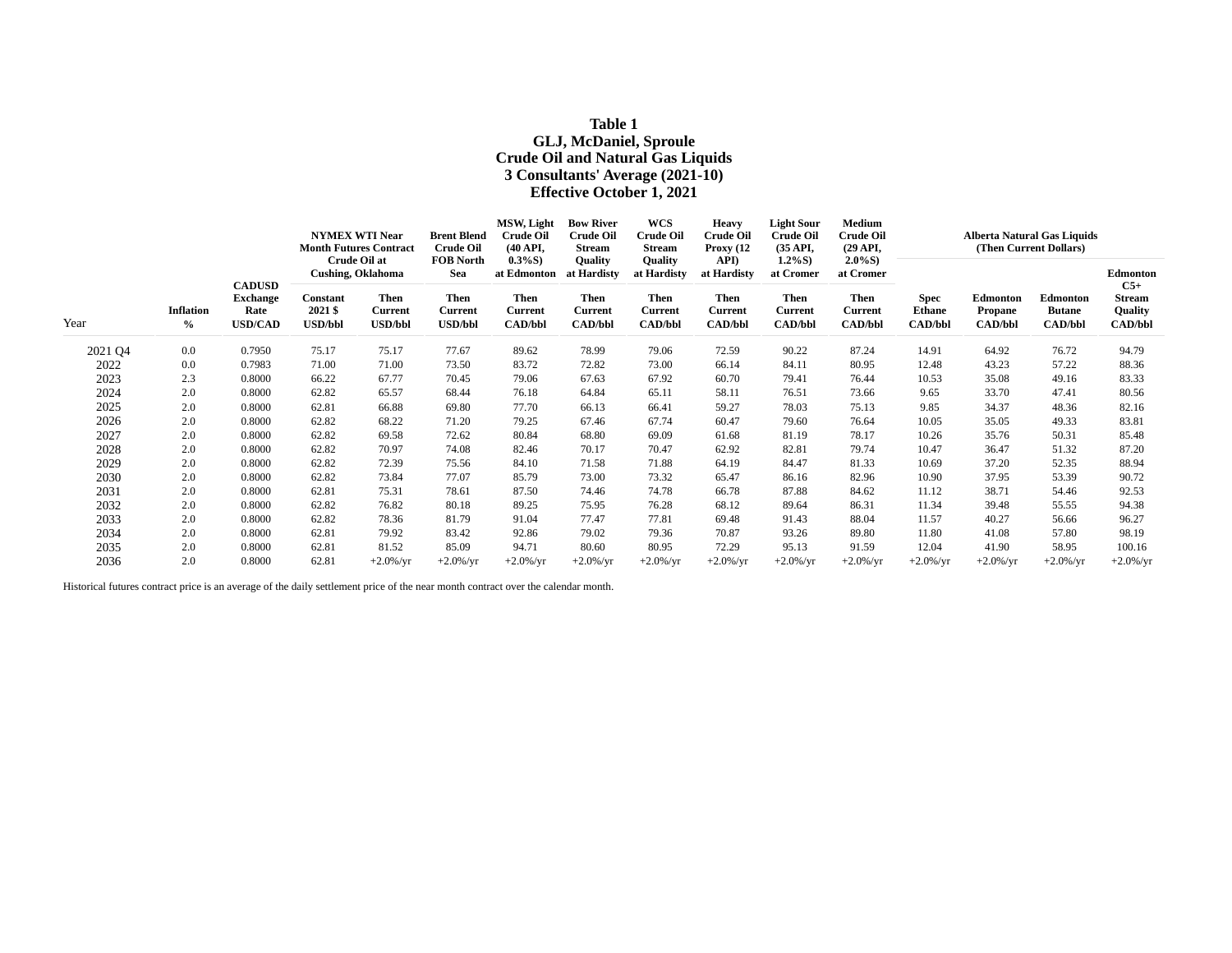# **Table 1 GLJ, McDaniel, Sproule Crude Oil and Natural Gas Liquids 3 Consultants' Average (2021-10) Effective October 1, 2021**

| Year    | <b>Inflation</b><br>$\frac{6}{6}$ | <b>CADUSD</b><br><b>Exchange</b><br>Rate<br><b>USD/CAD</b> | <b>NYMEX WTI Near</b><br><b>Month Futures Contract</b><br><b>Crude Oil at</b> |                                                                      | <b>Brent Blend</b><br><b>Crude Oil</b><br><b>FOB North</b> | MSW, Light<br><b>Crude Oil</b><br>$(40 \text{ API}$<br>$0.3\%S$ ) | <b>Bow River</b><br><b>Crude Oil</b><br><b>Stream</b><br><b>Ouality</b> | <b>WCS</b><br><b>Crude Oil</b><br>Stream<br><b>Ouality</b>     | <b>Heavy</b><br><b>Crude Oil</b><br>Proxy $(12)$<br>API)       | <b>Light Sour</b><br><b>Crude Oil</b><br>(35 API,<br>$1.2\%S$ ) | Medium<br><b>Crude Oil</b><br>$(29 \text{ API},$<br>$2.0\%S$ ) | <b>Alberta Natural Gas Liquids</b><br>(Then Current Dollars) |                                              |                                                    |                                                                 |  |
|---------|-----------------------------------|------------------------------------------------------------|-------------------------------------------------------------------------------|----------------------------------------------------------------------|------------------------------------------------------------|-------------------------------------------------------------------|-------------------------------------------------------------------------|----------------------------------------------------------------|----------------------------------------------------------------|-----------------------------------------------------------------|----------------------------------------------------------------|--------------------------------------------------------------|----------------------------------------------|----------------------------------------------------|-----------------------------------------------------------------|--|
|         |                                   |                                                            | Constant<br>2021 \$<br><b>USD/bbl</b>                                         | <b>Cushing, Oklahoma</b><br>Then<br><b>Current</b><br><b>USD/bbl</b> | Sea<br><b>Then</b><br><b>Current</b><br><b>USD/bbl</b>     | at Edmonton<br><b>Then</b><br><b>Current</b><br><b>CAD/bbl</b>    | at Hardisty<br><b>Then</b><br><b>Current</b><br><b>CAD/bbl</b>          | at Hardisty<br><b>Then</b><br><b>Current</b><br><b>CAD/bbl</b> | at Hardisty<br><b>Then</b><br><b>Current</b><br><b>CAD/bbl</b> | at Cromer<br>Then<br><b>Current</b><br><b>CAD/bbl</b>           | at Cromer<br>Then<br><b>Current</b><br><b>CAD/bbl</b>          | <b>Spec</b><br><b>Ethane</b><br><b>CAD/bbl</b>               | Edmonton<br><b>Propane</b><br><b>CAD/bbl</b> | <b>Edmonton</b><br><b>Butane</b><br><b>CAD/bbl</b> | Edmonton<br>$C5+$<br><b>Stream</b><br>Quality<br><b>CAD/bbl</b> |  |
| 2021 Q4 | 0.0                               | 0.7950                                                     | 75.17                                                                         | 75.17                                                                | 77.67                                                      | 89.62                                                             | 78.99                                                                   | 79.06                                                          | 72.59                                                          | 90.22                                                           | 87.24                                                          | 14.91                                                        | 64.92                                        | 76.72                                              | 94.79                                                           |  |
| 2022    | 0.0                               | 0.7983                                                     | 71.00                                                                         | 71.00                                                                | 73.50                                                      | 83.72                                                             | 72.82                                                                   | 73.00                                                          | 66.14                                                          | 84.11                                                           | 80.95                                                          | 12.48                                                        | 43.23                                        | 57.22                                              | 88.36                                                           |  |
| 2023    | 2.3                               | 0.8000                                                     | 66.22                                                                         | 67.77                                                                | 70.45                                                      | 79.06                                                             | 67.63                                                                   | 67.92                                                          | 60.70                                                          | 79.41                                                           | 76.44                                                          | 10.53                                                        | 35.08                                        | 49.16                                              | 83.33                                                           |  |
| 2024    | 2.0                               | 0.8000                                                     | 62.82                                                                         | 65.57                                                                | 68.44                                                      | 76.18                                                             | 64.84                                                                   | 65.11                                                          | 58.11                                                          | 76.51                                                           | 73.66                                                          | 9.65                                                         | 33.70                                        | 47.41                                              | 80.56                                                           |  |
| 2025    | 2.0                               | 0.8000                                                     | 62.81                                                                         | 66.88                                                                | 69.80                                                      | 77.70                                                             | 66.13                                                                   | 66.41                                                          | 59.27                                                          | 78.03                                                           | 75.13                                                          | 9.85                                                         | 34.37                                        | 48.36                                              | 82.16                                                           |  |
| 2026    | 2.0                               | 0.8000                                                     | 62.82                                                                         | 68.22                                                                | 71.20                                                      | 79.25                                                             | 67.46                                                                   | 67.74                                                          | 60.47                                                          | 79.60                                                           | 76.64                                                          | 10.05                                                        | 35.05                                        | 49.33                                              | 83.81                                                           |  |
| 2027    | 2.0                               | 0.8000                                                     | 62.82                                                                         | 69.58                                                                | 72.62                                                      | 80.84                                                             | 68.80                                                                   | 69.09                                                          | 61.68                                                          | 81.19                                                           | 78.17                                                          | 10.26                                                        | 35.76                                        | 50.31                                              | 85.48                                                           |  |
| 2028    | 2.0                               | 0.8000                                                     | 62.82                                                                         | 70.97                                                                | 74.08                                                      | 82.46                                                             | 70.17                                                                   | 70.47                                                          | 62.92                                                          | 82.81                                                           | 79.74                                                          | 10.47                                                        | 36.47                                        | 51.32                                              | 87.20                                                           |  |
| 2029    | 2.0                               | 0.8000                                                     | 62.82                                                                         | 72.39                                                                | 75.56                                                      | 84.10                                                             | 71.58                                                                   | 71.88                                                          | 64.19                                                          | 84.47                                                           | 81.33                                                          | 10.69                                                        | 37.20                                        | 52.35                                              | 88.94                                                           |  |
| 2030    | 2.0                               | 0.8000                                                     | 62.82                                                                         | 73.84                                                                | 77.07                                                      | 85.79                                                             | 73.00                                                                   | 73.32                                                          | 65.47                                                          | 86.16                                                           | 82.96                                                          | 10.90                                                        | 37.95                                        | 53.39                                              | 90.72                                                           |  |
| 2031    | 2.0                               | 0.8000                                                     | 62.81                                                                         | 75.31                                                                | 78.61                                                      | 87.50                                                             | 74.46                                                                   | 74.78                                                          | 66.78                                                          | 87.88                                                           | 84.62                                                          | 11.12                                                        | 38.71                                        | 54.46                                              | 92.53                                                           |  |
| 2032    | 2.0                               | 0.8000                                                     | 62.82                                                                         | 76.82                                                                | 80.18                                                      | 89.25                                                             | 75.95                                                                   | 76.28                                                          | 68.12                                                          | 89.64                                                           | 86.31                                                          | 11.34                                                        | 39.48                                        | 55.55                                              | 94.38                                                           |  |
| 2033    | 2.0                               | 0.8000                                                     | 62.82                                                                         | 78.36                                                                | 81.79                                                      | 91.04                                                             | 77.47                                                                   | 77.81                                                          | 69.48                                                          | 91.43                                                           | 88.04                                                          | 11.57                                                        | 40.27                                        | 56.66                                              | 96.27                                                           |  |
| 2034    | 2.0                               | 0.8000                                                     | 62.81                                                                         | 79.92                                                                | 83.42                                                      | 92.86                                                             | 79.02                                                                   | 79.36                                                          | 70.87                                                          | 93.26                                                           | 89.80                                                          | 11.80                                                        | 41.08                                        | 57.80                                              | 98.19                                                           |  |
| 2035    | 2.0                               | 0.8000                                                     | 62.81                                                                         | 81.52                                                                | 85.09                                                      | 94.71                                                             | 80.60                                                                   | 80.95                                                          | 72.29                                                          | 95.13                                                           | 91.59                                                          | 12.04                                                        | 41.90                                        | 58.95                                              | 100.16                                                          |  |
| 2036    | 2.0                               | 0.8000                                                     | 62.81                                                                         | $+2.0\%$ /yr                                                         | $+2.0\%$ /yr                                               | $+2.0\%$ /yr                                                      | $+2.0\%$ /yr                                                            | $+2.0\%$ /yr                                                   | $+2.0\%$ /yr                                                   | $+2.0\%$ /yr                                                    | $+2.0\%$ /yr                                                   | $+2.0\%$ /yr                                                 | $+2.0\%$ /yr                                 | $+2.0\%$ /yr                                       | $+2.0\%$ /yr                                                    |  |

Historical futures contract price is an average of the daily settlement price of the near month contract over the calendar month.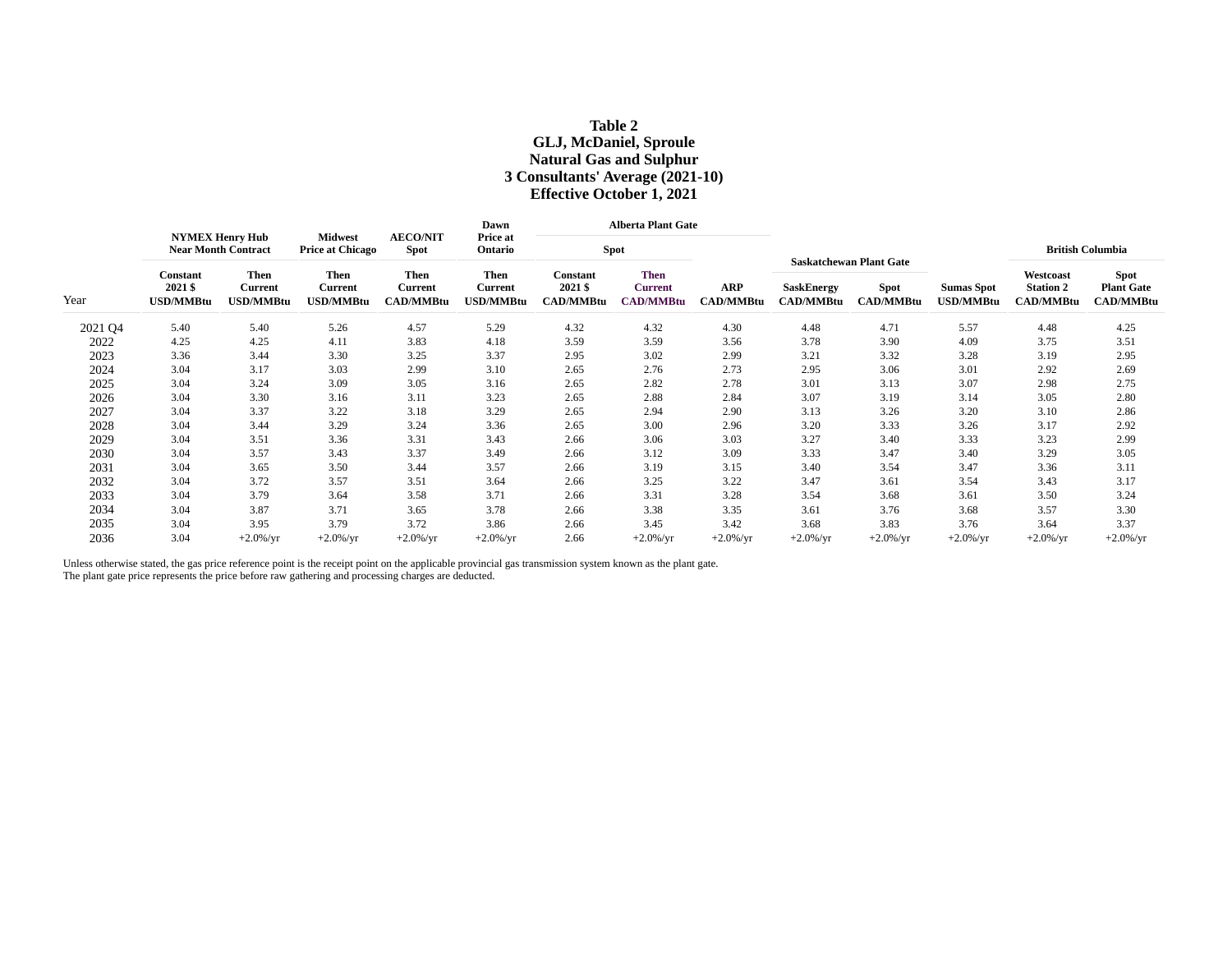# **Table 2 GLJ, McDaniel, Sproule Natural Gas and Sulphur 3 Consultants' Average (2021-10) Effective October 1, 2021**

| Year    | <b>NYMEX Henry Hub</b><br><b>Near Month Contract</b> |                                            |                                            |                                            | Dawn                                |                                         | <b>Alberta Plant Gate</b>                         |                         |                                |                                                                   |                                |                                                   |                                                      |
|---------|------------------------------------------------------|--------------------------------------------|--------------------------------------------|--------------------------------------------|-------------------------------------|-----------------------------------------|---------------------------------------------------|-------------------------|--------------------------------|-------------------------------------------------------------------|--------------------------------|---------------------------------------------------|------------------------------------------------------|
|         |                                                      |                                            | <b>Midwest</b><br><b>Price at Chicago</b>  | <b>AECO/NIT</b><br><b>Spot</b>             | Price at<br>Ontario                 | <b>Spot</b>                             |                                                   |                         |                                |                                                                   |                                | <b>British Columbia</b>                           |                                                      |
|         | <b>Constant</b><br>2021 \$<br><b>USD/MMBtu</b>       | Then<br><b>Current</b><br><b>USD/MMBtu</b> | <b>Then</b><br>Current<br><b>USD/MMBtu</b> | <b>Then</b><br>Current<br><b>CAD/MMBtu</b> | Then<br><b>Current</b><br>USD/MMBtu | Constant<br>2021 \$<br><b>CAD/MMBtu</b> | <b>Then</b><br><b>Current</b><br><b>CAD/MMBtu</b> | <b>ARP</b><br>CAD/MMBtu | <b>SaskEnergy</b><br>CAD/MMBtu | <b>Saskatchewan Plant Gate</b><br><b>Spot</b><br><b>CAD/MMBtu</b> | <b>Sumas Spot</b><br>USD/MMBtu | Westcoast<br><b>Station 2</b><br><b>CAD/MMBtu</b> | <b>Spot</b><br><b>Plant Gate</b><br><b>CAD/MMBtu</b> |
| 2021 Q4 | 5.40                                                 | 5.40                                       | 5.26                                       | 4.57                                       | 5.29                                | 4.32                                    | 4.32                                              | 4.30                    | 4.48                           | 4.71                                                              | 5.57                           | 4.48                                              | 4.25                                                 |
| 2022    | 4.25                                                 | 4.25                                       | 4.11                                       | 3.83                                       | 4.18                                | 3.59                                    | 3.59                                              | 3.56                    | 3.78                           | 3.90                                                              | 4.09                           | 3.75                                              | 3.51                                                 |
| 2023    | 3.36                                                 | 3.44                                       | 3.30                                       | 3.25                                       | 3.37                                | 2.95                                    | 3.02                                              | 2.99                    | 3.21                           | 3.32                                                              | 3.28                           | 3.19                                              | 2.95                                                 |
| 2024    | 3.04                                                 | 3.17                                       | 3.03                                       | 2.99                                       | 3.10                                | 2.65                                    | 2.76                                              | 2.73                    | 2.95                           | 3.06                                                              | 3.01                           | 2.92                                              | 2.69                                                 |
| 2025    | 3.04                                                 | 3.24                                       | 3.09                                       | 3.05                                       | 3.16                                | 2.65                                    | 2.82                                              | 2.78                    | 3.01                           | 3.13                                                              | 3.07                           | 2.98                                              | 2.75                                                 |
| 2026    | 3.04                                                 | 3.30                                       | 3.16                                       | 3.11                                       | 3.23                                | 2.65                                    | 2.88                                              | 2.84                    | 3.07                           | 3.19                                                              | 3.14                           | 3.05                                              | 2.80                                                 |
| 2027    | 3.04                                                 | 3.37                                       | 3.22                                       | 3.18                                       | 3.29                                | 2.65                                    | 2.94                                              | 2.90                    | 3.13                           | 3.26                                                              | 3.20                           | 3.10                                              | 2.86                                                 |
| 2028    | 3.04                                                 | 3.44                                       | 3.29                                       | 3.24                                       | 3.36                                | 2.65                                    | 3.00                                              | 2.96                    | 3.20                           | 3.33                                                              | 3.26                           | 3.17                                              | 2.92                                                 |
| 2029    | 3.04                                                 | 3.51                                       | 3.36                                       | 3.31                                       | 3.43                                | 2.66                                    | 3.06                                              | 3.03                    | 3.27                           | 3.40                                                              | 3.33                           | 3.23                                              | 2.99                                                 |
| 2030    | 3.04                                                 | 3.57                                       | 3.43                                       | 3.37                                       | 3.49                                | 2.66                                    | 3.12                                              | 3.09                    | 3.33                           | 3.47                                                              | 3.40                           | 3.29                                              | 3.05                                                 |
| 2031    | 3.04                                                 | 3.65                                       | 3.50                                       | 3.44                                       | 3.57                                | 2.66                                    | 3.19                                              | 3.15                    | 3.40                           | 3.54                                                              | 3.47                           | 3.36                                              | 3.11                                                 |
| 2032    | 3.04                                                 | 3.72                                       | 3.57                                       | 3.51                                       | 3.64                                | 2.66                                    | 3.25                                              | 3.22                    | 3.47                           | 3.61                                                              | 3.54                           | 3.43                                              | 3.17                                                 |
| 2033    | 3.04                                                 | 3.79                                       | 3.64                                       | 3.58                                       | 3.71                                | 2.66                                    | 3.31                                              | 3.28                    | 3.54                           | 3.68                                                              | 3.61                           | 3.50                                              | 3.24                                                 |
| 2034    | 3.04                                                 | 3.87                                       | 3.71                                       | 3.65                                       | 3.78                                | 2.66                                    | 3.38                                              | 3.35                    | 3.61                           | 3.76                                                              | 3.68                           | 3.57                                              | 3.30                                                 |
| 2035    | 3.04                                                 | 3.95                                       | 3.79                                       | 3.72                                       | 3.86                                | 2.66                                    | 3.45                                              | 3.42                    | 3.68                           | 3.83                                                              | 3.76                           | 3.64                                              | 3.37                                                 |
| 2036    | 3.04                                                 | $+2.0\%$ /yr                               | $+2.0\%$ /yr                               | $+2.0\%$ /yr                               | $+2.0\%$ /yr                        | 2.66                                    | $+2.0\%$ /yr                                      | $+2.0\%$ /yr            | $+2.0\%$ /yr                   | $+2.0\%$ /yr                                                      | $+2.0\%$ /yr                   | $+2.0\%$ /yr                                      | $+2.0\%$ /yr                                         |

Unless otherwise stated, the gas price reference point is the receipt point on the applicable provincial gas transmission system known as the plant gate. The plant gate price represents the price before raw gathering and processing charges are deducted.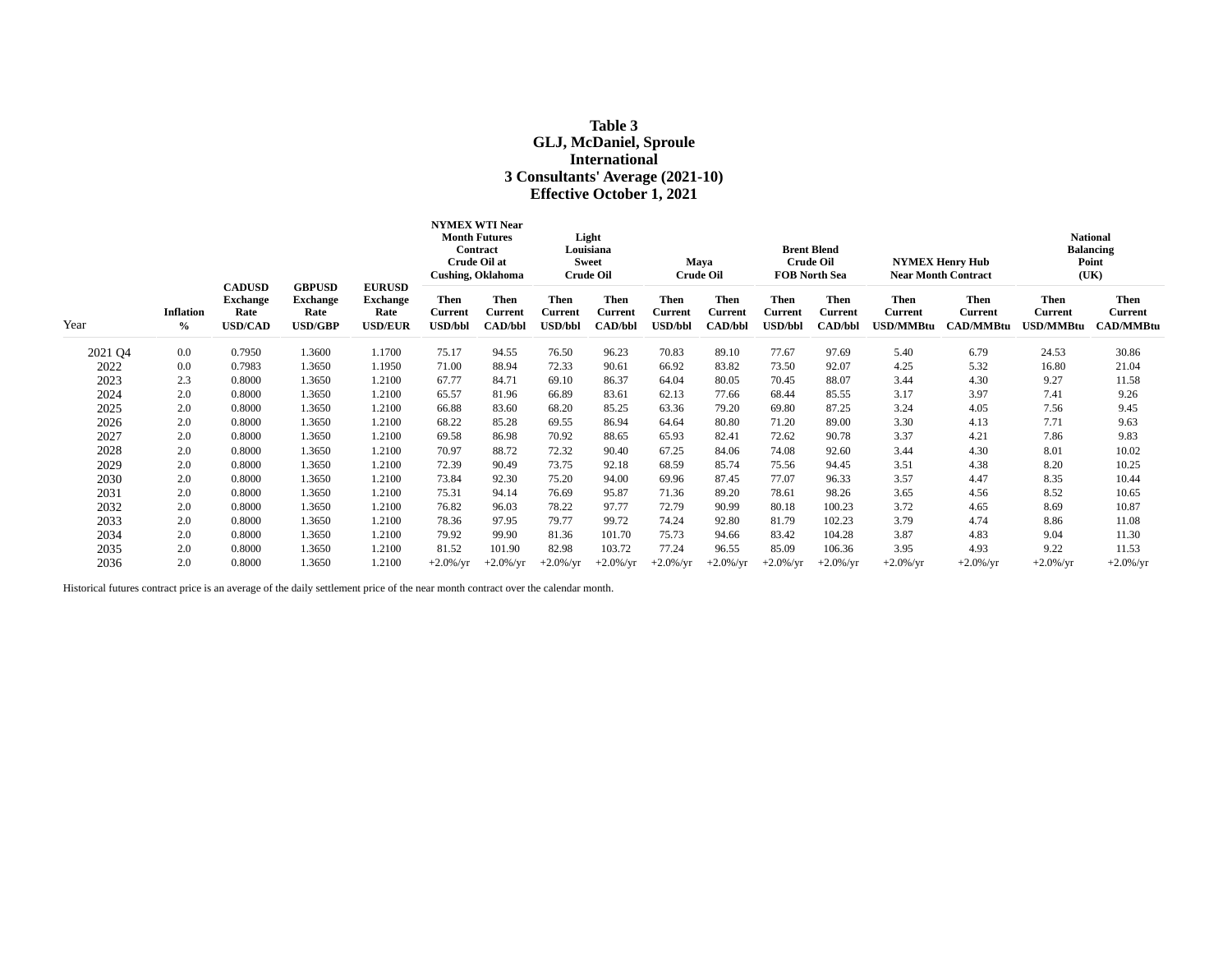# **Table 3 GLJ, McDaniel, Sproule International 3 Consultants' Average (2021-10) Effective October 1, 2021**

|         |                          |                                                            |                                                            |                                                            | <b>NYMEX WTI Near</b><br><b>Month Futures</b><br>Contract<br>Crude Oil at<br><b>Cushing, Oklahoma</b> |                                                 | Light<br>Louisiana<br><b>Sweet</b><br><b>Crude Oil</b> |                                          | Maya<br><b>Crude Oil</b>          |                                                 | <b>Brent Blend</b><br><b>Crude Oil</b><br><b>FOB North Sea</b> |                                   | <b>NYMEX Henry Hub</b><br><b>Near Month Contract</b> |                                            | <b>National</b><br><b>Balancing</b><br>Point<br>(UK) |                                            |
|---------|--------------------------|------------------------------------------------------------|------------------------------------------------------------|------------------------------------------------------------|-------------------------------------------------------------------------------------------------------|-------------------------------------------------|--------------------------------------------------------|------------------------------------------|-----------------------------------|-------------------------------------------------|----------------------------------------------------------------|-----------------------------------|------------------------------------------------------|--------------------------------------------|------------------------------------------------------|--------------------------------------------|
| Year    | <b>Inflation</b><br>$\%$ | <b>CADUSD</b><br><b>Exchange</b><br>Rate<br><b>USD/CAD</b> | <b>GBPUSD</b><br><b>Exchange</b><br>Rate<br><b>USD/GBP</b> | <b>EURUSD</b><br><b>Exchange</b><br>Rate<br><b>USD/EUR</b> | Then<br><b>Current</b><br>USD/bbl                                                                     | <b>Then</b><br><b>Current</b><br><b>CAD/bbl</b> | <b>Then</b><br>Current<br><b>USD/bbl</b>               | Then<br><b>Current</b><br><b>CAD/bbl</b> | Then<br>Current<br><b>USD/bbl</b> | <b>Then</b><br><b>Current</b><br><b>CAD/bbl</b> | <b>Then</b><br>Current<br><b>USD/bbl</b>                       | Then<br>Current<br><b>CAD/bbl</b> | <b>Then</b><br><b>Current</b><br>USD/MMBtu           | <b>Then</b><br>Current<br><b>CAD/MMBtu</b> | <b>Then</b><br><b>Current</b><br><b>JSD/MMBtu</b>    | Then<br><b>Current</b><br><b>CAD/MMBtu</b> |
| 2021 Q4 | 0.0                      | 0.7950                                                     | 1.3600                                                     | 1.1700                                                     | 75.17                                                                                                 | 94.55                                           | 76.50                                                  | 96.23                                    | 70.83                             | 89.10                                           | 77.67                                                          | 97.69                             | 5.40                                                 | 6.79                                       | 24.53                                                | 30.86                                      |
| 2022    | 0.0                      | 0.7983                                                     | 1.3650                                                     | 1.1950                                                     | 71.00                                                                                                 | 88.94                                           | 72.33                                                  | 90.61                                    | 66.92                             | 83.82                                           | 73.50                                                          | 92.07                             | 4.25                                                 | 5.32                                       | 16.80                                                | 21.04                                      |
| 2023    | 2.3                      | 0.8000                                                     | 1.3650                                                     | 1.2100                                                     | 67.77                                                                                                 | 84.71                                           | 69.10                                                  | 86.37                                    | 64.04                             | 80.05                                           | 70.45                                                          | 88.07                             | 3.44                                                 | 4.30                                       | 9.27                                                 | 11.58                                      |
| 2024    | 2.0                      | 0.8000                                                     | 1.3650                                                     | 1.2100                                                     | 65.57                                                                                                 | 81.96                                           | 66.89                                                  | 83.61                                    | 62.13                             | 77.66                                           | 68.44                                                          | 85.55                             | 3.17                                                 | 3.97                                       | 7.41                                                 | 9.26                                       |
| 2025    | 2.0                      | 0.8000                                                     | 1.3650                                                     | 1.2100                                                     | 66.88                                                                                                 | 83.60                                           | 68.20                                                  | 85.25                                    | 63.36                             | 79.20                                           | 69.80                                                          | 87.25                             | 3.24                                                 | 4.05                                       | 7.56                                                 | 9.45                                       |
| 2026    | 2.0                      | 0.8000                                                     | 1.3650                                                     | 1.2100                                                     | 68.22                                                                                                 | 85.28                                           | 69.55                                                  | 86.94                                    | 64.64                             | 80.80                                           | 71.20                                                          | 89.00                             | 3.30                                                 | 4.13                                       | 7.71                                                 | 9.63                                       |
| 2027    | 2.0                      | 0.8000                                                     | 1.3650                                                     | 1.2100                                                     | 69.58                                                                                                 | 86.98                                           | 70.92                                                  | 88.65                                    | 65.93                             | 82.41                                           | 72.62                                                          | 90.78                             | 3.37                                                 | 4.21                                       | 7.86                                                 | 9.83                                       |
| 2028    | 2.0                      | 0.8000                                                     | 1.3650                                                     | 1.2100                                                     | 70.97                                                                                                 | 88.72                                           | 72.32                                                  | 90.40                                    | 67.25                             | 84.06                                           | 74.08                                                          | 92.60                             | 3.44                                                 | 4.30                                       | 8.01                                                 | 10.02                                      |
| 2029    | 2.0                      | 0.8000                                                     | 1.3650                                                     | 1.2100                                                     | 72.39                                                                                                 | 90.49                                           | 73.75                                                  | 92.18                                    | 68.59                             | 85.74                                           | 75.56                                                          | 94.45                             | 3.51                                                 | 4.38                                       | 8.20                                                 | 10.25                                      |
| 2030    | 2.0                      | 0.8000                                                     | 1.3650                                                     | 1.2100                                                     | 73.84                                                                                                 | 92.30                                           | 75.20                                                  | 94.00                                    | 69.96                             | 87.45                                           | 77.07                                                          | 96.33                             | 3.57                                                 | 4.47                                       | 8.35                                                 | 10.44                                      |
| 2031    | 2.0                      | 0.8000                                                     | 1.3650                                                     | 1.2100                                                     | 75.31                                                                                                 | 94.14                                           | 76.69                                                  | 95.87                                    | 71.36                             | 89.20                                           | 78.61                                                          | 98.26                             | 3.65                                                 | 4.56                                       | 8.52                                                 | 10.65                                      |
| 2032    | 2.0                      | 0.8000                                                     | 1.3650                                                     | 1.2100                                                     | 76.82                                                                                                 | 96.03                                           | 78.22                                                  | 97.77                                    | 72.79                             | 90.99                                           | 80.18                                                          | 100.23                            | 3.72                                                 | 4.65                                       | 8.69                                                 | 10.87                                      |
| 2033    | 2.0                      | 0.8000                                                     | 1.3650                                                     | 1.2100                                                     | 78.36                                                                                                 | 97.95                                           | 79.77                                                  | 99.72                                    | 74.24                             | 92.80                                           | 81.79                                                          | 102.23                            | 3.79                                                 | 4.74                                       | 8.86                                                 | 11.08                                      |
| 2034    | 2.0                      | 0.8000                                                     | 1.3650                                                     | 1.2100                                                     | 79.92                                                                                                 | 99.90                                           | 81.36                                                  | 101.70                                   | 75.73                             | 94.66                                           | 83.42                                                          | 104.28                            | 3.87                                                 | 4.83                                       | 9.04                                                 | 11.30                                      |
| 2035    | 2.0                      | 0.8000                                                     | 1.3650                                                     | 1.2100                                                     | 81.52                                                                                                 | 101.90                                          | 82.98                                                  | 103.72                                   | 77.24                             | 96.55                                           | 85.09                                                          | 106.36                            | 3.95                                                 | 4.93                                       | 9.22                                                 | 11.53                                      |
| 2036    | 2.0                      | 0.8000                                                     | 1.3650                                                     | 1.2100                                                     | $+2.0\%$ /yr                                                                                          | $+2.0\%$ /yr                                    | $+2.0\%$ /yr                                           | $+2.0\%$ /yr                             | $+2.0\%$ /yr                      | $+2.0\%$ /yr                                    | $+2.0\%$ /yr                                                   | $+2.0\%$ /yr                      | $+2.0\%$ /yr                                         | $+2.0\%$ /yr                               | $+2.0\%$ /yr                                         | $+2.0\%$ /yr                               |

Historical futures contract price is an average of the daily settlement price of the near month contract over the calendar month.